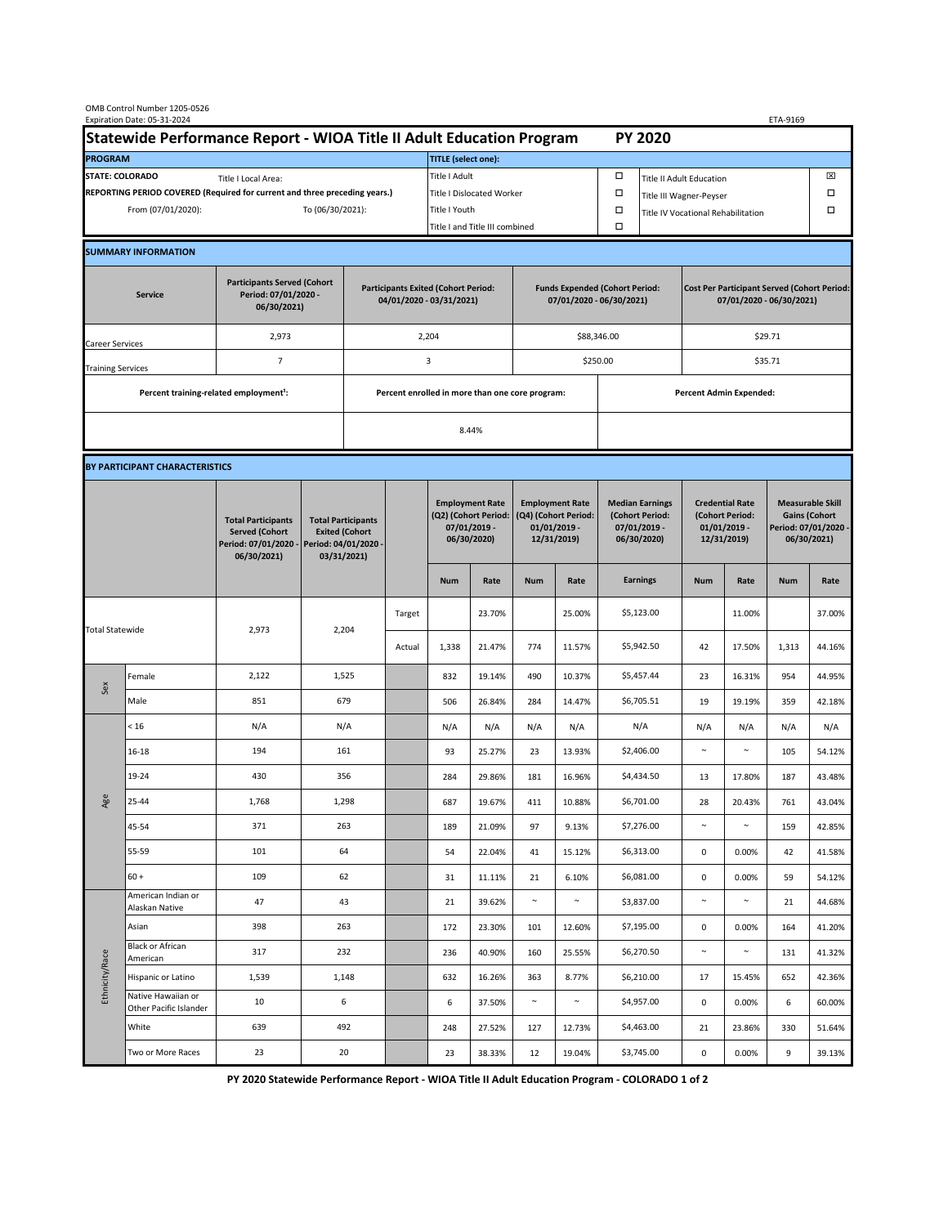|                                                                                             | OMB Control Number 1205-0526<br>Expiration Date: 05-31-2024<br>ETA-9169 |                                                                                           |                                                                                           |                                                                        |                           |                                                                               |                                |                                                                                 |        |                                                                            |                                         |                                                                                |        |                                                                                        |        |  |
|---------------------------------------------------------------------------------------------|-------------------------------------------------------------------------|-------------------------------------------------------------------------------------------|-------------------------------------------------------------------------------------------|------------------------------------------------------------------------|---------------------------|-------------------------------------------------------------------------------|--------------------------------|---------------------------------------------------------------------------------|--------|----------------------------------------------------------------------------|-----------------------------------------|--------------------------------------------------------------------------------|--------|----------------------------------------------------------------------------------------|--------|--|
| Statewide Performance Report - WIOA Title II Adult Education Program                        |                                                                         |                                                                                           |                                                                                           |                                                                        |                           |                                                                               |                                |                                                                                 |        |                                                                            | <b>PY 2020</b>                          |                                                                                |        |                                                                                        |        |  |
| <b>PROGRAM</b>                                                                              |                                                                         |                                                                                           |                                                                                           |                                                                        |                           | <b>TITLE</b> (select one):                                                    |                                |                                                                                 |        |                                                                            |                                         |                                                                                |        |                                                                                        |        |  |
| <b>STATE: COLORADO</b><br>Title I Local Area:                                               |                                                                         |                                                                                           |                                                                                           |                                                                        |                           | Title I Adult                                                                 |                                |                                                                                 |        | □<br><b>Title II Adult Education</b>                                       |                                         |                                                                                |        |                                                                                        | ⊠      |  |
| REPORTING PERIOD COVERED (Required for current and three preceding years.)                  |                                                                         |                                                                                           |                                                                                           |                                                                        | Title I Dislocated Worker |                                                                               |                                |                                                                                 |        | Ω                                                                          | Title III Wagner-Peyser                 |                                                                                |        |                                                                                        |        |  |
| From (07/01/2020):                                                                          |                                                                         |                                                                                           |                                                                                           | To (06/30/2021):                                                       |                           |                                                                               | Title I Youth                  |                                                                                 |        | $\Box$                                                                     | □<br>Title IV Vocational Rehabilitation |                                                                                |        |                                                                                        |        |  |
|                                                                                             |                                                                         |                                                                                           |                                                                                           |                                                                        |                           |                                                                               | Title I and Title III combined |                                                                                 |        | Ω                                                                          |                                         |                                                                                |        |                                                                                        |        |  |
|                                                                                             | <b>SUMMARY INFORMATION</b>                                              |                                                                                           |                                                                                           |                                                                        |                           |                                                                               |                                |                                                                                 |        |                                                                            |                                         |                                                                                |        |                                                                                        |        |  |
| <b>Participants Served (Cohort</b><br>Period: 07/01/2020 -<br><b>Service</b><br>06/30/2021) |                                                                         |                                                                                           |                                                                                           | <b>Participants Exited (Cohort Period:</b><br>04/01/2020 - 03/31/2021) |                           |                                                                               |                                | <b>Funds Expended (Cohort Period:</b><br>07/01/2020 - 06/30/2021)               |        |                                                                            |                                         | <b>Cost Per Participant Served (Cohort Period:</b><br>07/01/2020 - 06/30/2021) |        |                                                                                        |        |  |
| <b>Career Services</b>                                                                      |                                                                         | 2,973                                                                                     |                                                                                           |                                                                        |                           | 2,204                                                                         |                                |                                                                                 |        | \$88,346.00                                                                |                                         | \$29.71                                                                        |        |                                                                                        |        |  |
| <b>Training Services</b>                                                                    |                                                                         | $\overline{7}$                                                                            |                                                                                           | 3                                                                      |                           |                                                                               |                                |                                                                                 |        | \$250.00                                                                   |                                         | \$35.71                                                                        |        |                                                                                        |        |  |
|                                                                                             | Percent training-related employment <sup>1</sup> :                      |                                                                                           | Percent enrolled in more than one core program:                                           |                                                                        |                           |                                                                               |                                |                                                                                 |        | <b>Percent Admin Expended:</b>                                             |                                         |                                                                                |        |                                                                                        |        |  |
|                                                                                             |                                                                         |                                                                                           |                                                                                           |                                                                        |                           | 8.44%                                                                         |                                |                                                                                 |        |                                                                            |                                         |                                                                                |        |                                                                                        |        |  |
|                                                                                             |                                                                         |                                                                                           |                                                                                           |                                                                        |                           |                                                                               |                                |                                                                                 |        |                                                                            |                                         |                                                                                |        |                                                                                        |        |  |
| BY PARTICIPANT CHARACTERISTICS                                                              |                                                                         |                                                                                           |                                                                                           |                                                                        |                           |                                                                               |                                |                                                                                 |        |                                                                            |                                         |                                                                                |        |                                                                                        |        |  |
|                                                                                             |                                                                         | <b>Total Participants</b><br><b>Served (Cohort</b><br>Period: 07/01/2020 -<br>06/30/2021) | <b>Total Participants</b><br><b>Exited (Cohort</b><br>Period: 04/01/2020 -<br>03/31/2021) |                                                                        |                           | <b>Employment Rate</b><br>(Q2) (Cohort Period:<br>07/01/2019 -<br>06/30/2020) |                                | <b>Employment Rate</b><br>(Q4) (Cohort Period:<br>$01/01/2019$ -<br>12/31/2019) |        | <b>Median Earnings</b><br>(Cohort Period:<br>$07/01/2019 -$<br>06/30/2020) |                                         | <b>Credential Rate</b><br>(Cohort Period:<br>$01/01/2019$ -<br>12/31/2019)     |        | <b>Measurable Skill</b><br><b>Gains (Cohort</b><br>Period: 07/01/2020 -<br>06/30/2021) |        |  |
|                                                                                             |                                                                         |                                                                                           |                                                                                           |                                                                        |                           | <b>Num</b>                                                                    | Rate                           | <b>Num</b>                                                                      | Rate   |                                                                            | <b>Earnings</b>                         | <b>Num</b>                                                                     | Rate   | <b>Num</b>                                                                             | Rate   |  |
| <b>Total Statewide</b>                                                                      |                                                                         | 2,973                                                                                     | 2,204                                                                                     |                                                                        | Target                    |                                                                               | 23.70%                         |                                                                                 | 25.00% |                                                                            | \$5,123.00                              |                                                                                | 11.00% |                                                                                        | 37.00% |  |
|                                                                                             |                                                                         |                                                                                           |                                                                                           |                                                                        | Actual                    | 1,338                                                                         | 21.47%                         | 774                                                                             | 11.57% |                                                                            | \$5,942.50                              | 42                                                                             | 17.50% | 1,313                                                                                  | 44.16% |  |
| Sex                                                                                         | Female                                                                  | 2,122                                                                                     | 1,525                                                                                     |                                                                        |                           | 832                                                                           | 19.14%                         | 490                                                                             | 10.37% |                                                                            | \$5,457.44                              | 23                                                                             | 16.31% | 954                                                                                    | 44.95% |  |
|                                                                                             | Male                                                                    | 851                                                                                       | 679                                                                                       |                                                                        |                           | 506                                                                           | 26.84%                         | 284                                                                             | 14.47% |                                                                            | \$6,705.51                              | 19                                                                             | 19.19% | 359                                                                                    | 42.18% |  |
| Age                                                                                         | < 16                                                                    | N/A                                                                                       | N/A                                                                                       |                                                                        |                           | N/A                                                                           | N/A                            | N/A                                                                             | N/A    |                                                                            | N/A                                     | N/A                                                                            | N/A    | N/A                                                                                    | N/A    |  |
|                                                                                             | 16-18                                                                   | 194                                                                                       | 161                                                                                       |                                                                        |                           | 93                                                                            | 25.27%                         | 23                                                                              | 13.93% |                                                                            | \$2,406.00                              | $\sim$                                                                         | $\sim$ | 105                                                                                    | 54.12% |  |
|                                                                                             | 19-24                                                                   | 430                                                                                       | 356                                                                                       |                                                                        |                           | 284                                                                           | 29.86%                         | 181                                                                             | 16.96% |                                                                            | \$4,434.50                              | 13                                                                             | 17.80% | 187                                                                                    | 43.48% |  |
|                                                                                             | 25-44                                                                   | 1,768                                                                                     | 1,298                                                                                     |                                                                        |                           | 687                                                                           | 19.67%                         | 411                                                                             | 10.88% |                                                                            | \$6,701.00                              | 28                                                                             | 20.43% | 761                                                                                    | 43.04% |  |
|                                                                                             | 45-54                                                                   | 371                                                                                       | 263                                                                                       |                                                                        |                           | 189                                                                           | 21.09%                         | 97                                                                              | 9.13%  |                                                                            | \$7,276.00                              | $\sim$                                                                         | $\sim$ | 159                                                                                    | 42.85% |  |
|                                                                                             | 55-59                                                                   | 101                                                                                       | 64                                                                                        |                                                                        |                           | 54                                                                            | 22.04%                         | 41                                                                              | 15.12% |                                                                            | \$6,313.00                              | $\mathbf 0$                                                                    | 0.00%  | 42                                                                                     | 41.58% |  |
|                                                                                             | $60 +$                                                                  | 109                                                                                       | 62                                                                                        |                                                                        |                           | 31                                                                            | 11.11%                         | 21                                                                              | 6.10%  |                                                                            | \$6,081.00                              | $\mathbf 0$                                                                    | 0.00%  | 59                                                                                     | 54.12% |  |
| Ethnicity/Race                                                                              | American Indian or<br>Alaskan Native                                    | 47                                                                                        | 43                                                                                        |                                                                        |                           | 21                                                                            | 39.62%                         | $\sim$                                                                          | $\sim$ |                                                                            | \$3,837.00                              | $\sim$                                                                         | $\sim$ | 21                                                                                     | 44.68% |  |
|                                                                                             | Asian                                                                   | 398                                                                                       | 263                                                                                       |                                                                        |                           | 172                                                                           | 23.30%                         | 101                                                                             | 12.60% |                                                                            | \$7,195.00                              | 0                                                                              | 0.00%  | 164                                                                                    | 41.20% |  |
|                                                                                             | Black or African<br>American                                            | 317                                                                                       | 232                                                                                       |                                                                        |                           | 236                                                                           | 40.90%                         | 160                                                                             | 25.55% |                                                                            | \$6,270.50                              | $\sim$                                                                         | $\sim$ | 131                                                                                    | 41.32% |  |
|                                                                                             | Hispanic or Latino                                                      | 1,539                                                                                     | 1,148                                                                                     |                                                                        |                           | 632                                                                           | 16.26%                         | 363                                                                             | 8.77%  |                                                                            | \$6,210.00                              | 17                                                                             | 15.45% | 652                                                                                    | 42.36% |  |
|                                                                                             | Native Hawaiian or<br>Other Pacific Islander                            | 10                                                                                        |                                                                                           | 6                                                                      |                           | 6                                                                             | 37.50%                         | $\sim$                                                                          | $\sim$ |                                                                            | \$4,957.00                              | $\mathbf 0$                                                                    | 0.00%  | 6                                                                                      | 60.00% |  |
|                                                                                             | White                                                                   | 639                                                                                       | 492                                                                                       |                                                                        |                           | 248                                                                           | 27.52%                         | 127                                                                             | 12.73% |                                                                            | \$4,463.00                              | 21                                                                             | 23.86% | 330                                                                                    | 51.64% |  |
|                                                                                             | Two or More Races                                                       | 23                                                                                        | 20                                                                                        |                                                                        |                           | 23                                                                            | 38.33%                         | 12                                                                              | 19.04% |                                                                            | \$3,745.00                              | $\mathbf 0$                                                                    | 0.00%  | 9                                                                                      | 39.13% |  |

 **PY 2020 Statewide Performance Report - WIOA Title II Adult Education Program - COLORADO 1 of 2**